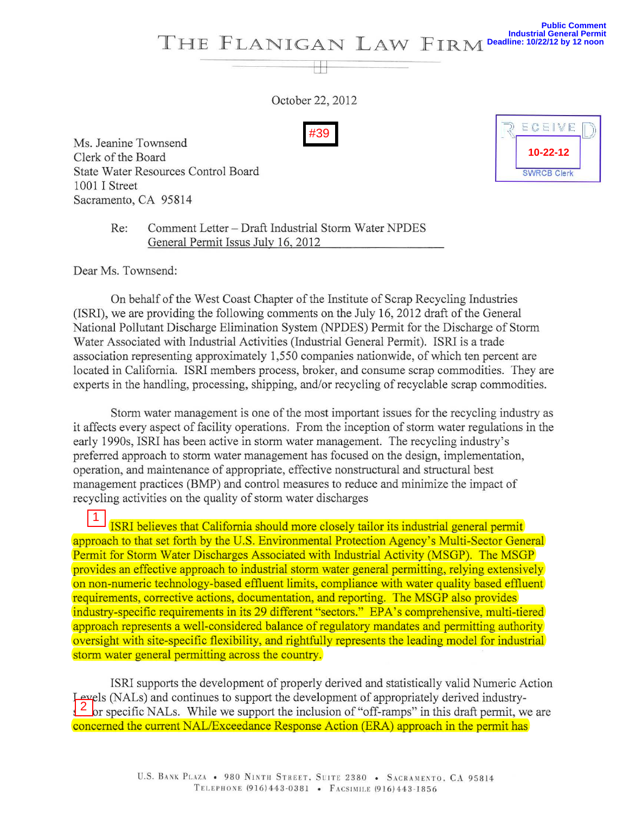

October 22, 2012

W

Ms. Jeanine Townsend Clerk of the Board State Water Resources Control Board 1001 I Street Sacramento, CA 95814

ECEIVE **10-22-12 SWRCB Clerk** 

Re: Comment Letter - Draft Industrial Storm Water NPDES General Permit Issus July 16,2012

Dear Ms. Townsend:

On behalf of the West Coast Chapter of the Institute of Scrap Recycling Industries (ISRI), we are providing the following comments on the July 16, 2012 draft of the General National Pollutant Discharge Elimination System (NPDES) Permit for the Discharge of Storm Water Associated with Industrial Activities (Industrial General Permit). ISRI is a trade association representing approximately 1,550 companies nationwide, of which ten percent are located in California. ISRI members process, broker, and consume scrap commodities. They are experts in the handling, processing, shipping, and/or recycling of recyclable scrap commodities.

Storm water management is one of the most important issues for the recycling industry as it affects every aspect of facility operations. From the inception of storm water regulations in the early 1990s, ISRI has been active in storm water management. The recycling industry's preferred approach to storm water management has focused on the design, implementation, operation, and maintenance of appropriate, effective nonstructural and structural best management practices (BMP) and control measures to reduce and minimize the impact of recycling activities on the quality of storm water discharges

ISRI believes that California should more closely tailor its industrial general permit approach to that set forth by the U.S. Environmental Protection Agency's Multi-Sector General Permit for Storm Water Discharges Associated with Industrial Activity (MSGP). The MSGP provides an effective approach to industrial storm water general permitting, relying extensively on non-numeric technology-based effluent limits, compliance with water quality based effluent requirements, corrective actions, documentation, and reporting. The MSGP also provides industry-specific requirements in its 29 different "sectors." EPA's comprehensive, multi-tiered approach represents a well-considered balance of regulatory mandates and permitting authority oversight with site-specific flexibility, and rightfully represents the leading model for industrial storm water general permitting across the country. *H*39<br>
Ms. Jeanine Townsend<br>
Techk of the Board<br>
State Water Resources Control Board<br>
1001 I Street<br>
Re: Comment Letter – Draft Industrial State<br>
1001 I Street<br>
Re: Comment Letter – Draft Industrial Signer of the 101<br>
On

ISRI supports the development of properly derived and statistically valid Numeric Action Levels (NALs) and continues to support the development of appropriately derived industry- $\frac{2}{3}$  or specific NALs. While we support the inclusion of "off-ramps" in this draft permit, we are concerned the current NAL/Exceedance Response Action (ERA) approach in the permit has